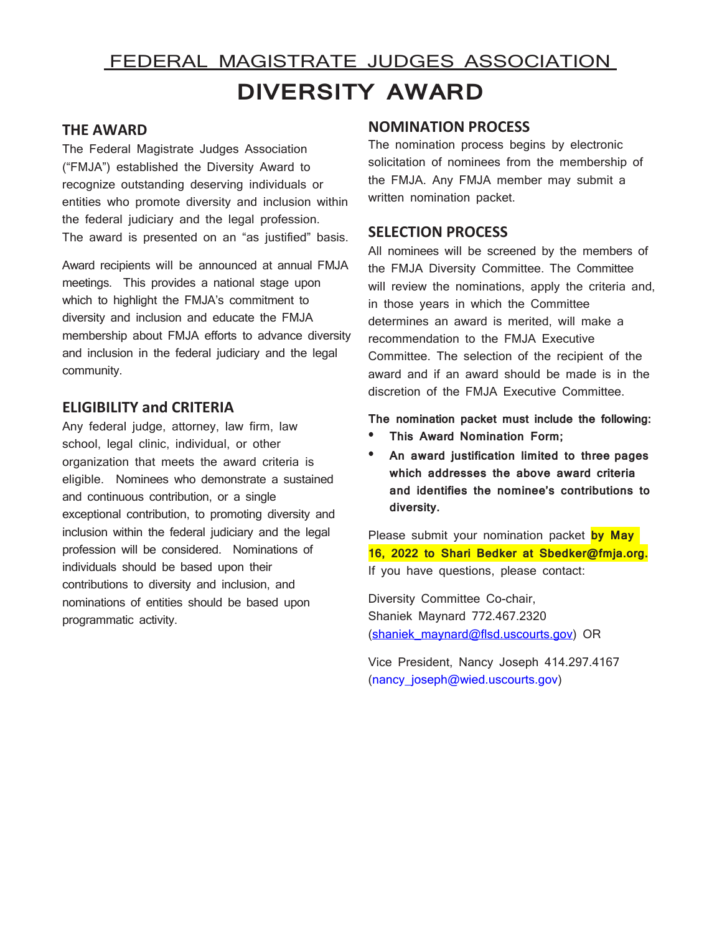# FEDERAL MAGISTRATE JUDGES ASSOCIATION **DIVERSITY AWARD**

# **THE AWARD**

The Federal Magistrate Judges Association ("FMJA") established the Diversity Award to recognize outstanding deserving individuals or entities who promote diversity and inclusion within the federal judiciary and the legal profession. The award is presented on an "as justified" basis.

Award recipients will be announced at annual FMJA meetings. This provides a national stage upon which to highlight the FMJA's commitment to diversity and inclusion and educate the FMJA membership about FMJA efforts to advance diversity and inclusion in the federal judiciary and the legal community.

## **ELIGIBILITY and CRITERIA**

Any federal judge, attorney, law firm, law school, legal clinic, individual, or other organization that meets the award criteria is eligible. Nominees who demonstrate a sustained and continuous contribution, or a single exceptional contribution, to promoting diversity and inclusion within the federal judiciary and the legal profession will be considered. Nominations of individuals should be based upon their contributions to diversity and inclusion, and nominations of entities should be based upon programmatic activity.

#### **NOMINATION PROCESS**

The nomination process begins by electronic solicitation of nominees from the membership of the FMJA. Any FMJA member may submit a written nomination packet.

### **SELECTION PROCESS**

All nominees will be screened by the members of the FMJA Diversity Committee. The Committee will review the nominations, apply the criteria and, in those years in which the Committee determines an award is merited, will make a recommendation to the FMJA Executive Committee. The selection of the recipient of the award and if an award should be made is in the discretion of the FMJA Executive Committee.

**The nomination packet must include the following:**

- **• This Award Nomination Form;**
- **• An award justification limited to three pages which addresses the above award criteria and identifies the nominee's contributions to diversity.**

Please submit your nomination packet **by May 16, 2022 to Shari Bedker at Sbedker@fmja.org.** If you have questions, please contact:

Diversity Committee Co-chair, Shaniek Maynard 772.467.2320 [\(shaniek\\_maynard@flsd.uscourts.gov\)](mailto:shaniek_maynard@flsd.uscourts.gov) OR

Vice President, Nancy Joseph 414.297.4167 [\(nancy\\_joseph@wied.uscourts.gov\)](mailto:nancy_joseph@wied.uscourts.gov)